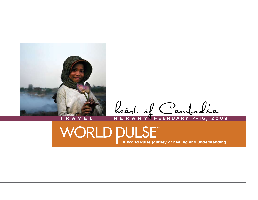

**T R A V E L I T I N E R A R Y FEBRUARY 7-16, 2009** heart of Cambodia

## WORLD PULSE<sup>T</sup><br>A World Pulse journey of healing and understanding.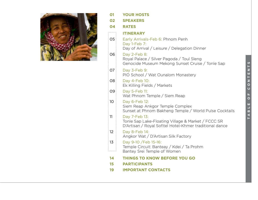

| 01      | <b>YOUR HOSTS</b>                                                                                                              |
|---------|--------------------------------------------------------------------------------------------------------------------------------|
| 02      | <b>SPEAKERS</b>                                                                                                                |
| 04      | <b>RATES</b>                                                                                                                   |
|         | <b>ITINERARY</b>                                                                                                               |
| 05      | Early Arrivals-Feb 6: Phnom Penh<br>Day 1-Feb 7:<br>Day of Arrival / Leisure / Delegation Dinner                               |
| 06      | Day 2-Feb 8:<br>Royal Palace / Silver Pagoda / Toul Sleng<br>Genocide Museum Mekong Sunset Cruise / Tonle Sap                  |
| 07      | Day 3-Feb 9:<br>PIO School / Wat Ounalom Monastery                                                                             |
| 08      | Day 4-Feb 10:<br>Ek Killing Fields / Markets                                                                                   |
| 09      | Day 5-Feb 11:<br>Wat Phnom Temple / Siem Reap                                                                                  |
| 10      | Day 6-Feb 12:<br>Siem Reap Ankgor Temple Complex<br>Sunset at Phnom Bakheng Temple / World Pulse Cocktails                     |
| 11      | Day 7-Feb 13:<br>Tonle Sap Lake-Floating Village & Market / FCCC SR<br>D'Artisan / Royal Sofitel Hotel-Khmer traditional dance |
| 12      | Day 8-Feb 14:<br>Angkor Wat / D'Artisan Silk Factory                                                                           |
| 13<br>. | Day 9-10 / Feb 15-16:<br>Temple Circuit: Banteay / Kdei / Ta Prohm<br>Bantey Srei Temple of Women                              |
| 14      | <b>THINGS TO KNOW BEFORE YOU GO</b>                                                                                            |
| 15      | <b>PARTICIPANTS</b>                                                                                                            |
| 19      | <b>IMPORTANT CONTACTS</b>                                                                                                      |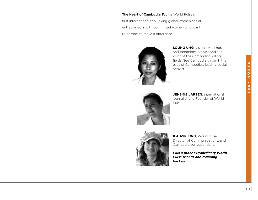**The Heart of Cambodia Tour** is World Pulse's first international trip linking global women social entrepreneurs with committed women who want to partner to make a difference.



**LOUNG UNG**, visionary author, anti-landmines activist and survivor of the Cambodian killing fields. See Cambodia through the eyes of Cambodia's leading social activist.



**JENSINE LARSEN**, international journalist and Founder of World Pulse.



**ILA ASPLUND,** World Pulse Director of Communications, and Cambodia correspondent.

*Plus 9 other extraordinary World Pulse friends and founding backers.*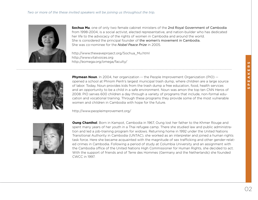#### *Two or more of the these invited speakers will be joining us throughout the trip.*



**Sochua Mu**, one of only two female cabinet ministers of the 2nd Royal Government of Cambodia from 1998-2004, is a social activist, elected representative, and nation-builder who has dedicated her life to the advocacy of the rights of women in Cambodia and around the world. She is considered the principal founder of the women's movement in Cambodia. She was co-nominee for the *Nobel Peace Prize* in 2005.

http://www.thewaveproject.org/Sochua\_Mu.html http://www.vitalvoices.org http://eomega.org/omega/faculty/



**Phymean Noun**. In 2004, her organization -- the People Improvement Organization (PIO) -opened a school at Phnom Penh's largest municipal trash dump, where children are a large source of labor. Today, Noun provides kids from the trash dump a free education, food, health services and an opportunity to be a child in a safe environment. Noun was amon the top ten CNN Heros of 2008. PIO serves 600 children a day through a variety of programs that include, non-formal education and vocational training. Through these programs they provide some of the most vulnerable women and children in Cambodia with hope for the future.

http://www.peopleimprovement.org/



**Oung Chanthol**. Born in Kampot, Cambodia in 1967, Oung lost her father to the Khmer Rouge and spent many years of her youth in a Thai refugee camp. There she studied law and public administration and led a job-training program for widows. Returning home in 1992 under the United Nations Transitional Authority in Cambodia (UNTAC), she worked as an interpreter and joined a human rights task force. Here she became acquainted with the magnitude of sex trafficking and other gender-related crimes in Cambodia. Following a period of study at Columbia University and an assignment with the Cambodia office of the United Nations High Commissioner for Human Rights, she decided to act. With the support of friends and of Terre des Hommes (Germany and the Netherlands) she founded CWCC in 1997.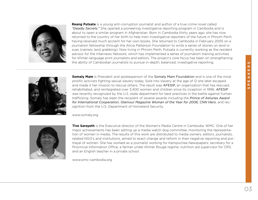

**Reang Putsata** is a young anti-corruption journalist and author of a true crime novel called *"Deadly Secrets."* She opened a pioneering investigative reporting program in Cambodia and is about to open a similar program in Afghanistan. Born in Cambodia thirty years ago, she has now returned to the country of her birth to help train investigative reporters of the future in Phnom Penh, having received much acclaim for her own books. She returned to Cambodia in February 2005 on a journalism fellowship through the Alicia Patterson Foundation to write a series of stories on land issues (namely land grabbing). Now living in Phnom Penh, Putsata is currently working as the resident advisor for the Internews Network, which has implemented a series of journalism training activities for Khmer-language print journalists and editors. The project's core focus has been on strengthening the ability of Cambodian journalists to pursue in-depth, balanced, investigative reporting.



**Somaly Mam** is President and spokesperson of the Somaly Mam Foundation and is one of the most prolific activists fighting sexual slavery today. Sold into slavery at the age of 12 she later escaped and made it her mission to rescue others. The result was AFESIP, an organization that has rescued, rehabilitated, and reintegrated over 3,400 women and children since its inception in 1996. AFESIP was recently recognized by the U.S. state department for best practices in the battle against human trafficking. Somaly has been the recipient of several awards including the *Prince of Asturias Award for International Cooperation*, *Glamour Magazine Woman of the Year for 2006, CNN Hero*, and recognition from the U.S. Department of Homeland Security.

www.somaly.org



**Tive Sarayeth** is the Executive director of the Women's Media Centre in Cambodia: WMC. One of her major achievements has been setting up a media watch dog committee, monitoring the representation of women in media. The results of this work are distributed to media owners, editors, journalists, related NGO's and institutions, aimed to exact change and reform in their negative reporting and portrayal of women. She has worked as a journalist working for Kampuchea Newspapers; secretary for a Provincial Information Office; a farmer under Khmer Rouge regime; nutrition aid supervisor for CRS; and an English teacher in a private school.

www.wmc-cambodia.org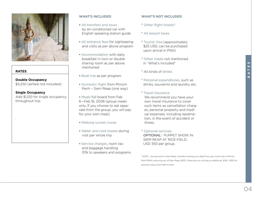

#### **RATES**:

.

**Double Occupancy** \$5,250 (airfare not included).

#### **Single Occupancy**

Add \$1,120 for single occupancy throughout trip.

#### **WHAT'S INCLUDED**

- All transfers and tours by air-conditioned car with English speaking station guide
- All entrance fees for sightseeing and visits as per above program
- Accommodation with daily breakfast in twin or double sharing room as per above mentioned
- Boat trip as per program
- Domestic flight from Phnom Penh – Siem Reap (one way)
- Meals full board from Feb 6—Feb 16, 2008 (group meals only. If you choose to eat separate from the group, you will pay for your own meal).
- Mekong sunset cruise
- Water and cold towels during visit per whole trip
- Service charges, room tax and baggage handling 10% to speakers and programs

#### **WHAT'S NOT INCLUDED**

- \* Other flight tickets\*
- \* All airport taxes
- \* Tourist Visa (approximately \$25 USD, can be purchased upon arrival in PNH)
- \* Other meals not mentioned in "What's Included"
- \* All kinds of drinks
- \* Personal expenditures, such as drinks, souvenirs and laundry etc.
- \* Travel insurance

We recommend you have your own travel insurance to cover such items as cancellation charg es, personal property and medi cal expenses, including repatria tion, in the event of accident or illness.

\* Optional services *OPTIONAL:* PUPPET SHOW IN SIEM REAP AT RICE FIELD: USD 350 per group.

\* NOTE: Journey ends in Siem Reap. Consider booking your flight from your home city to Phnom Penh (PNH), returning out of Siem Reap (REP). Otherwise you will pay an additional \$130 - \$150 for domestic return from REP to PNH.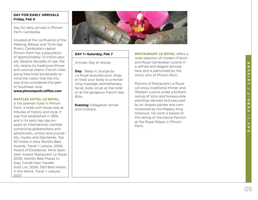#### **DAY FOR EARLY ARRIVALS Friday, Feb 6**

Day for early arrivals in Phnom Penh, Cambodia.

Situated at the confluence of the Mekong, Bassac and Tonle Sap Rivers, Cambodia's capital Phnom Penh has a population of approximately 1.5 million peo ple. Despite decades of war, the city retains its traditional Khmer and colonial charm. French villas along tree-lined boulevards re mind the visitor that the city was once considered the gem of Southeast Asia.

**www.phnompenh.raffles.com**

#### **RAFFLES HOTEL LE ROYAL**

is the premier hotel in Phnom Penh, a hotel with those rare at tributes of history and style. It was first established in 1929, and in its early hey day en joyed an international clientele comprising globetrotters and adventurers, writers and journal ists, royalty and dignitaries. Top 50 hotels in Asia World's Best Awards, Travel + Leisure, 2006, Award of Excellence, Wine Spec tator Award, Restaurant Le Royal, 2006, World's Best Places to Stay, Condé Nast Traveler Gold List, 2006, 500 Best Hotels in the World, Travel + Leisure, 2007



#### **DAY 1—Saturday, Feb 7**

Arrivals. Day at leisure.

**Day:** Sleep in, lounge by Le Royal exquisite pool, shop, or treat your body to a revital izing massage, aromatherapy, facial, body scrub at the hotel or at the gorgeous French Spa Bliss.

**Evening:** Delegation dinner and cocktails.

**RESTAURANT LE ROYAL** offers a wide selection of modern French and Royal Cambodian cuisine in a refined and elegant atmosp here and is patronized by the who's who of Phnom Penh.

Patrons of Restaurant Le Royal will enjoy traditional Khmer and Western cuisine under a brilliant ceiling of lotus and honeysuckle paintings devised and executed by an Asasax painter and com missioned by His Majesty King Sihanouk. His work is based on the ceiling of the Dance Pavilion at the Royal Palace in Phnom Penh.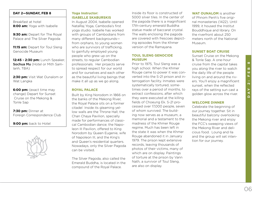## $\infty$ 06**DAY 2: FEB 8** m w, ú. .<br>ผ N Y

#### **DAY 2—SUNDAY, FEB 8**

Breakfast at hotel **8:00 am:** Yoga with Isabelle

**9:30 am: Depart for The Royal** Palace and The Silver Pagoda

**11:15 am:** Depart for Toul Sleng Genocide Museum

**12:45 - 2:30 pm:** Lunch Speaker, Sochua Mu (Hotel or Mith Samlanh, TBA)

**2:30 pm:** Visit Wat Ounalom or Wat Langka

**6:00 pm:** (exact time may change) Depart for Sunset Cruise on the Mekong & Tonle Sap

**7:30 pm:** Dinner at Foreign Correspondence Club

9:00 pm: back to Hotel



#### **Yoga Instructor: ISABELLE SKABURSKIS**

In August 2004, Isabelle opened NataRaj Yoga, Cambodia's first yoga studio. Isabelle has worked with groups of Cambodians from many different backgrounds from orphans, to young women who are survivors of trafficking, to gainfully employed young people who grew up on the streets, to regular Cambodian professionals. Her projects serve to spread respect for our world and for ourselves and each other as the beautiful living beings that make it all up as we go along.

#### **ROYAL PALACE**

Built by King Norodom in 1866 on the banks of the Mekong River, the Royal Palace sits on a former citadel Inside its gleaming yellow walls are the Throne Hall; the Chan Chaya Pavilion, specially made for performances of classical Cambodian dance; the Napoleon III Pavilion, offered to King Norodom by Queen Eugenie, wife of Napoleon III, and the King's and Queen's residential quarters. Nowadays, only the Silver Pagoda can be visited.

The Silver Pagoda, also called the Emerald Buddha, is located in the compound of the Royal Palace.

Inside its floor is constructed of 5000 silver tiles. In the center of the pagoda there is a magnificent 17th-century emerald Buddha statue made of baccarat crystal. The walls enclosing the pagoda are covered with frescoes depicting episodes from the Khmer version of the Ramayana.

#### **TOUL SLENG GENOCIDE MUSEUM**

Prior to 1975, Toul Sleng was a high school. When the Khmer Rouge came to power it was converted into the S-21 prison and interrogation facility. Inmates were systematically tortured, sometimes over a period of months, to extract confessions, after which they were executed at the killing fields of Choeung Ek. S-21 processed over 17,000 people, seven of whom survived. The building now serves as a museum, a memorial and a testament to the madness of the Khmer Rouge regime. Much has been left in the state it was when the Khmer Rouge abandoned it in January 1979. The prison kept extensive records, leaving thousands of photos of their victims, many of which are on display. Paintings of torture at the prison by Vann Nath, a survivor of Toul Sleng, are also on display.

**WAT OUNALOM** is another of Phnom Penh's five original monasteries (1422). Until 1999, it housed the Institut Bouddhique and library. On the riverfront about 250 meters north of the National Museum.

#### **SUNSET BOAT CRUISE**

Sunset Cruise on the Mekong & Tonle Sap. A one-hour cruise from the capital takes you along the river to watch the daily life of the people living on and around the rivers. You'll enjoy a magnificent sunset, when the reflected rays of the setting sun cast a golden glow across the river.

#### **WELCOME DINNER**

Celebrate the beginning of our journey together. Sit in beautiful balcony overlooking the Mekong river and enjoy the FCC's sweeping views of the Mekong River and delicious food. Loung and Ila and the group will set intention for our journey.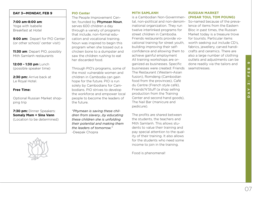#### **DAY 3—MONDAY, FEB 9**

#### **7:00 am-8:00 am**: Yoga with Isabelle Breakfast at Hotel

**9:00 am:** Depart for PIO Center (or other school/ center visit)

**11:30 am**: Depart PIO, possibly Mith Samlanh restaurants

**12:00 - 1:30 pm** Lunch (possible speaker time)

2:30 pm: Arrive back at Le Royal Hotel.

#### **Free Time:**

Optional Russian Market shopping trip

**7:30 pm:** Dinner Speakers: **Somaly Mam + Sina Vann** (Location to be determined)

#### **PIO Center**

The People Improvement Center, founded by Phymean Noun, serves 600 children a day through a variety of programs that include, non-formal education and vocational training. Noun was inspired to begin this program when she tossed out a chicken bone to a dumpster and saw the children rushing to eat her discarded food.

Through PIO's programs, some of the most vulnerable women and children in Cambodia can gain hope for the future. PIO is run solely by Cambodians for Cambodians. PIO strives to develop the workforce and empower local people to become the leaders of the future.

*"Phymean is saving these children from slavery...by educating these children she is unfolding their potential and making them the leaders of tomorrow."* -Deepak Chopra

#### **MITH SAMLANH**

is a Cambodian Non-Governmen-**(PHSAR TOUL TOM POUNG)** tal, non-political and non-denom-So-named because of the prevainational organization. They run twelve interlinked programs for street children in Cambodia. Friends restaurants provide vocational training for street youth, building improving their selfconfidence and allowing them to achieve gainful employment All training workshops are organized as businesses. Specific businesses were created: Friends The Restaurant (Western-Asian fusion), Romdeng (Cambodian food from the provinces), Café du Centre (French style café), Friends'N'Stuff (a shop selling production from the Training Center and second hand goods), The Nail Bar (manicure and pedicure).

The profits are shared between the students, the teachers and Mith Samlanh. This allows students to value their training and pay special attention to the quality of their training. It also allows for the students who need some income to join in the training.

Food is phenomenal!

### **RUSSIAN MARKET**

lence of items from the Eastern Bloc in past times, the Russian Market today is a treasure trove for tourists. Particular items worth seeking out include CD's, fabrics, jewellery, carved handicrafts and ceramics. There are also a large number of clothing outlets and adjustments can be done readily via the tailors and seamstresses.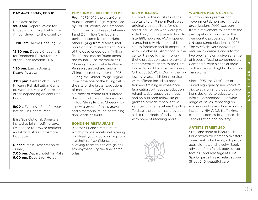#### **DAY 4—TUESDAY, FEB 10**

Breakfast at hotel **9:00 am**: Depart KWest for Choeung Ek Killing Fields Site (1 hour drive into the country)

#### **10:00 am:** Arrive Choeung Ek

**12:30 pm:** Depart Choeung Ek, for Romdeng Restaurant or other lunch location TBA

#### **1:30 pm:** Lunch Speaker: Reang Putsata

**3:00 pm:** Center VIsit: Khien Khleang Rehabilitation Center, or, Women's Media Centre, or other, depending on confirmations.

**5:00 ...**Evening—Free for your last day in Phnom Penh.

Bliss Spa Optional, Speakers invited to join in self-nurture. Or, choose to browse markets and Artists street, or Ambre Boutique

**Dinner**: Malis (reservation required).

**7:00 pm**: Depart hotel for Malis 9:00 pm: Depart for Hotel.

#### **CHOEUNG EK KILLING FIELDS**

From 1975-1979 the ultra-Communist Khmer Rouge regime, led by Pol Pot, controlled Cambodia. During their short reign, between 1 and 2.5 million Cambodians perished, some killed outright, others dying from disease, malnutrition and mistreatment. Many of the dead ended up in "killing fields" that can be found across the country. The memorial at 1 Choeung Ek just outside Phnom Penh was an orchard! and a Chinese cemetery prior to 1975. During the Khmer Rouge regime it became one of the killing fields the site of the brutal executions of more than 17,000 individuals, most of whom first suffered through torture and deprivation in Toul Sleng Prison. Choeung Ek is now a group of mass graves and a memorial stupa containing thousands of skulls.

#### **ROMDENG RESTAURANT**

Another Friend's restaurants which provide vocational training for street youth, building improving their self-confidence and allowing them to achieve gainful employment. Try the fried tarantulas!

#### **KIEN KHLEANG**

Located on the outskirts of the capital city of Phnom Penh, was originally a repository for disabled individuals who were provided only with a place to live. In late 1991, however, VVAF opened a prosthetic workshop at this site to fabricate and fit amputees with prostheses. Additionally, the center trained Khmer in prosthetic production technology and sent several students to the Cambodia School for Prosthetics and Orthotics (CSPO). During the following years, additional services were offered including production and training in wheelchair fabrication, orthotics production, rehabilitative support services and an outreach follow-up program to provide rehabilitative services to clients where they live. To date, the center has provided aid to thousands of individuals with hope of reaching more.



#### **WOMEN'S MEDIA CENTRE**

is Cambodia's premier nongovernmental, non profit media organization. WMC was born from a movement to increase the participation of women in the democratic process during the UN-sponsored elections in 1993. The WMC delivers innovative, national awareness and informative programs on a diverse range of issues affecting contemporary Cambodia, with a special focus on the roles and rights of Cambodian women.

Since 1995, the WMC has produced high quality, innovative radio, television and video productions designed to educate and inform Cambodians on a wide range of issues impacting on women's rights and human rights including HIV/AIDS, trafficking, elections, domestic violence, decentralization and poverty

#### **ARTISTS STREET 240**

Stroll and shop at beautiful boutique stores for Khmer & Western one-of-a-kind artwork, silk products, clothes, and jewelry. Book in advance for a facial, body scrub, foot rub and massage at Bliss Spa Or just sit, read, relax at one Street 240 beautiful café.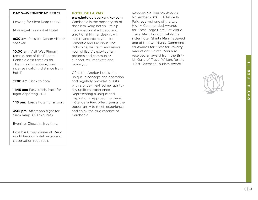# 09**DAY 5: FEB 11** ш <u>in</u>

#### **DAY 5—WEDNESDAY, FEB 11**

Leaving for Siem Reap today!

Morning—Breakfast at Hotel

**8:30 am:** Possible Center visit or speaker

**10:00 am:** Visit Wat Phnom temple, one of the Phnom Penh's oldest temples for offerings of gratitude, burn incense (walking distance from hotel).

**11:00 am:** Back to hotel

**11:45 am:** Easy lunch, Pack for flight departing PNH

**1:15 pm:** Leave hotel for airport

**3:45 pm:** Afternoon flight for Siem Reap (30 minutes)

Evening: Check in, free time,

Possible Group dinner at Meric world famous hotel restaurant (reservation required).

#### **HOTEL DE LA PAIX**

#### **www.hoteldelapaixangkor.com**

Cambodia is the most stylish of the Siem Reap hotels—its hip combination of art deco and traditional Khmer design, will inspire and excite you. Its romantic and luxurious Spa Indochine, will relax and revive you, whilst it´s eco-tourism projects and community support, will motivate and move you.

Of all the Angkor hotels, it is unique in concept and operation and regularly provides guests with a once-in-a-lifetime, spiritually uplifting experience. Representing a unique and inspirational approach to travel, Hôtel de la Paix offers guests the opportunity to meet, experience and enjoy the true essence of Cambodia.

Responsible Tourism Awards November 2006 - Hôtel de la Paix received one of the two Highly Commended Awards, for "Best Large Hotel," at World Travel Mart, London, whilst its sister hotel, Shinta Mani, received one of the two Highly Commended Awards for "Best for Poverty Reduction". Shinta Mani also received an award from the British Guild of Travel Writers for the "Best Overseas Tourism Award."

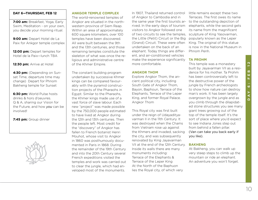#### **DAY 6—THURSDAY, FEB 12**

**7:00 am:** Breakfast, Yoga, Early Swim, Meditation - on your own, you decide your morning ritual.

**9:00 am:** Depart Hotel de La Paix for Ankgor temple complex

**12:00 pm:** Depart temples for Hotel de la Paix—lunch TBA

**12:30 pm:** Arrive at Hotel

**4:30 pm:** (Depending on Sunset Time, departure time may change) Depart for Phnom Bakheng temple for Sunset

**6:30 pm:** World Pulse hosts drinks & hors d'oeuvres. Q & A, sharing our Vision for the Future, and how *you* can be involved!

**7:45 pm:** Group dinner



#### **ANKGOR TEMPLE COMPLEX**

The world-renowned temples of Angkor are situated in the northwestern province of Siem Reap. Within an area of approximately 600 square kilometers, over 100 temples have been discovered. All were built between the 9th and the 13th centuries, and those remaining temples constitute the skeleton of what was once the religious and administrative centre of the Khmer Empire.

The constant building program undertaken by successive Khmer kings can be compared favourably with the pyramid construction projects of the Pharaohs in Egypt. Similar to the Pharaohs, the Khmer kings made use of a vast force of slave labour. Each new "project" was made possible by the 750,000 people estimated to have lived at Angkor during the 12th and 13th centuries. Then the people left. Most credit for the "discovery" of Angkor has fallen to French botanist Henri Mouhot, whose visit to Angkor in 1860 was posthumously documented in Paris in 1868. During the remainder of the 19th Century and into the 20th Century several French expeditions visited the temples and work was carried out to clear the jungle, which had enveloped most of the monuments.

In 1907, Thailand returned control of Angkor to Cambodia and in the same year the first tourists ar-to the outstanding depiction of rived. In the early days of tourism visitors to Angkor followed one of two circuits to see the temples, sculpture of King Yasovarman, the Little (Petit) Circuit or the Big (Grand) Circuit. These were often undertaken on the back of an elephant. Today things are different, and air-conditioned vehicles make the experience significantly more comfortable.

#### **ANGKOR THOM**

Explore Angkor Thom, the ancient political city, including South Gate of Angkor Thom, Bayon, Baphoun, Terrace of the Elephants, Terrace of the Leper King, and former Royal Palace. Angkor Thom

This Royal city was first built under the reign of Udayadityavarman II in the 11th Century. It was destroyed when the Chams from Vietnam rose up against the Khmers and invaded, sacking the city, and was subsequently renovated by King Jayavarman VII at the end of the 12th Century. Inside its walls there are many monuments including: Terrace of the Elephants & Terrace of the Leper King At the North of the Baphuon lies the Royal city, of which very

little remains except these two Terraces. The first owes its name elephants, while the second gets its name from the magnificent popularly known as the Leper King. The original of this statue is now in the National Museum in Phnom Penh.

#### **TA PROHM**

This temple was a monastery built by Jayavarman VII as a residence for his mother. Ta Prohm has been controversially left to the destructive power of the jungle by French archeologists to show how nature can destroy man's work. It has been largely overgrown by the jungle and as you climb through the dilapidated stone structures you see many giant trees growing out of the top of the temple itself. It's the sort of place where you'd expect to see Indiana Jones step out from behind a fallen pillar. (Van can take you back early if you like).

#### **BAKHENG**

At Bakheng, you can walk up very steep steps to climb up the mountain or ride an elephant. An adventure you won't forget.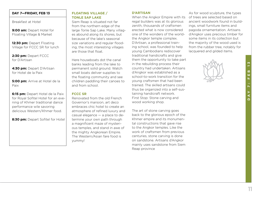#### **DAY 7—FRIDAY, FEB 13**

Breakfast at Hotel

**9:00 am:** Depart Hotel for Floating Village & Market

**12:30 pm:** Depart Floating Village for FCCC SR for lunch

2:30 pm: Depart FCCC for D'Artisan

**4:30 pm:** Depart D'Artisan for Hotel de la Paix

**5:00 pm:** Arrive at Hotel de la Paix

**6:15 pm:** Depart Hotel de la Paix for Royal Sofitel Hotel for an evening of Khmer traditional dance performance wile savoring delicious Western/Khmer food.

**8:30 pm: Depart Sofitel for Hotel** 

#### **FLOATING VILLAGE / TONLE SAP LAKE**

Siem Reap is situated not far from the northern edge of the large Tonle Sap Lake. Many villages abound along its shores, but because of the lake's seasonal size variations and regular flooding, the most interesting villages are those that float.

Here houseboats dot the canal banks leading from the lake to permanent solid ground. Watch small boats deliver supplies to the floating community and see children paddling their canoes to and from school.

#### **FCCC SR**

Renovated from the old French Governor's mansion, art deco embraces chic hotel to create an atmosphere of refined luxury and casual elegance — a place to determine your own path through a magnificent maze of mysterious temples, and stand in awe of the mighty Angkorean Empire. The Western/Asian fare food is yummy!

#### **D'ARTISAN**

When the Angkor Empire with its regal builders was at its glorious zenith, thousands of craftsmen erected what is now considered one of the wonders of the worldthe Angkor temple complex. D'Artisan, a professional training school, was founded to help young Cambodians rediscover traditional handicrafts and give them the opportunity to take part in the rebuilding process their country had undertaken. Artisans d'Angkor was established as a school-to-work transition for the young craftsmen that had been trained. The skilled artisans could thus be organized into a self-sustaining handicraft network. First Stop: Stone carving and wood working shop.

The art of stone carving goes back to the glorious epoch of the Khmer empire and its monumental constructions that gave rise to the Angkor temples. Like the work of craftsmen from previous centuries, stone carving is done on sandstone. Artisans d'Angkor mainly uses sandstone from Siem Reap province

As for wood sculpture, the types of trees are selected based on ancient woodwork found in buildings, small furniture items and pagoda ornamentation. Artisans d'Angkor uses precious timber for some items in its collection but the majority of the wood used is from the rubber tree, notably for lacquered and gilded items.

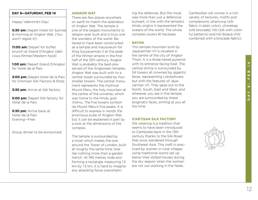#### **DAY 8—SATURDAY, FEB 14**

Happy Valentine's Day!

**5:30 am:** Depart Hotel for Sunrise & morning at Angkor Wat. (You won't regret it!)

**11:00 am:** Depart for buffet brunch at Grand D'Angkor (delicious Khmer/Western food)

**1:00 pm:** Depart Grand D'Angkor for Hotel de al Paix

**3:00 pm:** Depart Hotel de la Paix for D'Artisan Silk Factory & Shop

**3:30 pm:** Arrive at Silk factory

**5:00 pm:** Depart Silk factory for Hotel de la Paix

**5:30 pm:** Arrive back at Hotel de la Paix Evening—Free.

Group dinner to be announced.

#### **ANGKOR WAT**

There are few places anywhere on earth to match the splendour of Angkor Wat. The temple is one of the largest monuments to religion ever built and is truly one the wonders of the world. Believed to have been constructed as a temple and mausoleum for King Suryavarman II at the peak of the Khmer empire in the first half of the 12th century, Angkor Wat is probably the best-preserved of the Angkorean temples. Angkor Wat was built with to a central tower surrounded by four smaller towers. The central monument represents the mythical Mount Meru, the holy mountain at the centre of the universe, which was home to the Hindu god Vishnu. The five towers symbolise Mount Meru's five peaks. It is difficult to express in words the enormous scale of Angkor Wat, but it can be explained in part by a look at the dimensions of the complex.

The temple is surrounded by a moat which makes the one around the Tower of London, built at roughly the same time, look like nothing more than a garden trench. At 190 metres wide and forming a rectangle measuring 1.5 km by 1.3 km, it is hard to imagine any attacking force overwhelming the defences. But the moat was more than just a defensive bulwark, in line with the temple's Hindu origins it represented the oceans of the world. The whole complex covers 81 hectares.

#### **BAYON**

This temple mountain built by Jayavarman VII is situated in the centre of the city of Angkor Thom. It is a three-tiered pyramid with its entrance facing East. The central shrine is surrounded by 54 towers all crowned by gigantic faces, representing Lokiteshvara but with the features of Jayavarman VII. They gaze out to the North, South, East and West, and wherever you are in the temple, you are surrounded by these enigmatic faces, smiling at you all the time.

#### **D'ARTISAN SILK FACTORY**

Silk weaving is a tradition that seems to have been introduced to Cambodia back in the 13th century thanks to the Silk Road that once wandered through Southeast Asia. This craft is practiced by women in rural villages using traditional looms set up below their stilted houses during the dry season when the women are not out working in the fields.

Cambodian silk comes in a rich variety of textures, motifs and complexions: phamung (silk fabric in plain color), chorebap (silk brocade), hôl (silk with colorful patterns) and hôl lboeuk (hôl combined with a brocade fabric).

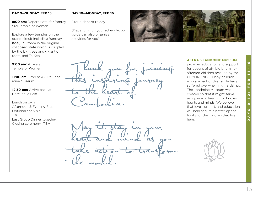#### **DAY 9—SUNDAY, FEB 15**

**8:00 am:** Depart Hotel for Bantey Srei Temple of Women.

Explore a few temples on the grand circuit including Banteay Kdei, Ta Prohm in the original collapsed state which is crippled by the big trees and gigantic roots, and Ta Keo.

**9:00 am:** Arrive at Temple of Women

**11:00 am:** Stop at Aki Ra Landmine Museum.

**12:30 pm:** Arrive back at Hotel de la Paix.

Lunch on own. Afternoon & Evening Free Optional spa visit -Or-Last Group Dinner together. Closing ceremony. TBA

#### **DAY 10—MONDAY, FEB 16**

Group departure day.

(Depending on your schedule, our guide can also organize activities for you).

 $\frac{1}{2}$ 

this inspiring fauruey

heart and mind as you

take action to transform

an in nour

to the heart of

Cambodia.

the world.



#### **AKI RA'S LANDMINE MUSEUM**

provides education and support for dozens of at-risk, landmineaffected children rescued by the CLMMRF NGO. Many children who are part of this family have suffered overwhelming hardships. The Landmine Museum was created so that it might serve as a place of healing for bodies, hearts and minds. We believe that love, support, and education will help secure a better opportunity for the children that live here.

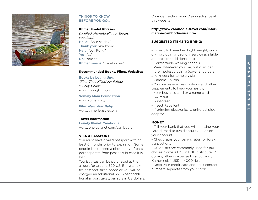

#### **THINGS TO KNOW BEFORE YOU GO…**

#### **Khmer Useful Phrases**

*(spelled phonetically for English speakers):* Hello: "Sour sa day" Thank you: "Aw koon" Help: "Joy Pong" Yes: "Ja" No: "odd te" Khmer means: "Cambodian"

#### **Recommended Books, Films, Websites**

#### **Books by Loung Ung:**

*"First They Killed My Father" "Lucky Child"* www.LoungUng.com

**Somaly Mam Foundation** www.somaly.org

**Film:** *New Year Baby*  www.khmerlegacies.org

#### **Travel information**

**Lonely Planet Cambodia**  www.lonelyplanet.com/cambodia

#### **VISA & PASSPORT**

You must have a valid passport with at least 6 months prior to expiration. Some people like to keep a photocopy of passport separate from passport in case it is lost.

Tourist visas can be purchased at the airport for around \$20 US. Bring an extra passport sized photo or you will be charged an additional \$5. Expect additional airport taxes, payable in US dollars. Consider getting your Visa in advance at this website:

#### **http://www.cambodia-travel.com/information/cambodia-visa.htm**

#### **SUGGESTED ITEMS TO BRING:**

- Expect hot weather! Light weight, quick drying clothing. Laundry service available at hotels for additional cost

- Comfortable walking sandals.
- Wear whatever you like, but consider more modest clothing (cover shoulders and knees) for temple visits
- Camera, Journal

- Your necessary prescriptions and other supplements to keep you healthy

- Your business card or a name card
- Swimsuit
- Sunscreen
- Insect Repellent

- If bringing electronics, a universal plug adaptor

#### **MONEY**

- Tell your bank that you will be using your card abroad to avoid security holds on your account.

- Check rates your bank's rates for foreign transactions

- US dollars are commonly used for purchases. Some ATMS in PNH distribute US dollars, others dispense local currency: Khmer riels 1 USD = 4000 riels

- Keep your credit card and bank contact numbers separate from your cards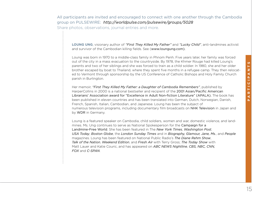All participants are invited and encouraged to connect with one another through the Cambodia group on PULSEWIRE: *http://worldpulse.com/pulsewire/groups/5028* Share photos, observations, journal entries and more.

**LOUNG UNG**, visionary author of *"First They Killed My Father"* and *"Lucky Child"*, anti-landmines activist and survivor of the Cambodian killing fields. See (www.loungung.com).

Loung was born in 1970 to a middle-class family in Phnom Penh. Five years later, her family was forced out of the city in a mass evacuation to the countryside. By 1978, the Khmer Rouge had killed Loung's parents and two of her siblings and she was forced to train as a child soldier. In 1980, she and her older brother escaped by boat to Thailand, where they spent five months in a refugee camp. They then relocated to Vermont through sponsorship by the US Conference of Catholic Bishops and Holy Family Church parish in Burlington.

Her memoir, *"First They Killed My Father: a Daughter of Cambodia Remembers"*, published by HarperCollins in 2000 is a national bestseller and recipient of the 2001 Asian/Pacific American Librarians' Association award for "Excellence in Adult Non-fiction Literature" (APALA). The book has been published in eleven countries and has been translated into German, Dutch, Norwegian, Danish, French, Spanish, Italian, Cambodian, and Japanese. Loung has been the subject of numerous television programs, including documentary film broadcasts on NHK Television in Japan and by WDR in Germany.

Loung is a featured speaker on Cambodia, child soldiers, women and war, domestic violence, and landmines. Ms. Ung continues to serve as National Spokesperson for the Campaign for a Landmine-Free World. She has been featured in The *New York Times*, *Washington Post*, *USA Today*, *Boston Globe*, the *London Sunday Times* and in *Biography, Glamour, Jane, Ms.*, and *People* magazines. Loung has been featured on National Public Radio's *The Diane Rehm Show*, *Talk of the Nation*, *Weekend Edition*, and *Fresh Air* with Terry Gross; *The Today Show* with Matt Lauer and Katie Couric, and has appeared on *ABC NEWS Nightline*, *CBS, NBC, CNN, FOX* and *C-SPAN*.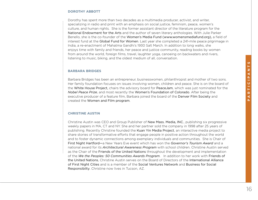#### **DOROTHY ABBOTT**

Dorothy has spent more than two decades as a multimedia producer, activist, and writer, specializing in radio and print with an emphasis on social justice, feminism, peace, women's culture, and human rights. She is the former assistant director of the literature program for the National Endowment for the Arts and the author of seven literary anthologies. With Julie Parker Benello, she is the co-founder of the Women's Media Fund (www.womensmediafund.org), a field of interest fund at the Global Fund for Women. Last year she completed a 241-mile peace pilgrimage in India, a re-enactment of Mahatma Gandhi's 1930 Salt March. In addition to long walks, she enjoys time with family and friends, her peace and justice community, reading books by women from around the world, foreign films, travel, laughter yoga, canoeing on backwaters and rivers, listening to music, biking, and the oldest medium of all, conversation.

#### **BARBARA BRIDGES**

Barbara Bridges has been an entrepreneur, businesswomen, philanthropist and mother of two sons. Her family foundation focuses on issues involving women, children and peace. She is on the board of the White House Project, chairs the advisory board for PeaceJam, which was just nominated for the *Nobel Peace Prize*, and most recently the Women's Foundation of Colorado. After being the executive producer of a feature film, Barbara joined the board of the Denver Film Society and created the Women and Film program.

#### **CHRISTINE AUSTIN**

Christine Austin was CEO and Group Publisher of New Mass. Media, INC., publishing six progressive weekly papers in MA, CT and NY. She and her partner sold the company in 1998 after 25 years of publishing. Recently Christine founded the Kuan Yin Media Project, an interactive media project to share stories of transformative efforts that engage people in positive action throughout the world and to foster dynamic connections among exemplary individuals and communities. She is Chair of First Night Hartford—a New Years Eve event which has won the *Governor's Tourism Award* and a national award for its *Architectural Awareness Program* with school children. Christine Austin served as the Chair of the Friends of the United Nations throughout the development and implementation of the *We the Peoples: 50 Communities Awards Program*. In addition to her work with Friends of the United Nations, Christine Austin serves on the Board of Directors of the International Alliance of First Night Cities and is a member of the Social Ventures Network and Business for Social Responsibilty. Christine now lives in Tucson, AZ.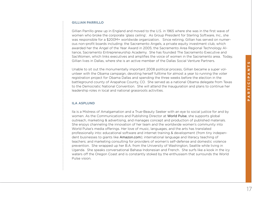#### **GILLIAN PARRILLO**

Gillian Parrillo grew up in England and moved to the U.S. in 1965 where she was in the first wave of women who broke the corporate 'glass ceiling'. As Group President for Sterling Software, Inc., she was responsible for a \$200M+ worldwide organization. Since retiring, Gillian has served on numerous non-profit boards including: the Sacramento Angels, a private equity investment club, which awarded her the Angel of the Year Award in 2005; the Sacramento Area Regional Technology Alliance, Sacramento Entrepreneurship Academy. She has founded The Sacramento Executive and SacWomen, which links executives and amplifies the voice of women in the Sacramento area. Today, Gillian lives in Dallas, where she is an active member of the Dallas Social Venture Partners.

Unable to sit out the monumentally important 2008 political process, Gillian became a super volunteer with the Obama campaign, devoting herself fulltime for almost a year to running the voter registration project for Obama Dallas and spending the three weeks before the election in the battleground county of Arapahoe County, CO. She served as a national Obama delegate from Texas to the Democratic National Convention. She will attend the Inauguration and plans to continue her leadership roles in local and national grassroots activities.

#### **ILA ASPLUND**

Ila is a Mistress of Amalgamation and a True-Beauty Seeker with an eye to social justice for and by women. As the Communications and Publishing Director at World Pulse, she supports global outreach, marketing & advertising, and manages concept and production of published materials. She enjoys channeling the innovation of her team and the worldwide women's community into World Pulse's media offerings. Her love of music, languages, and the arts has translated professionally into: educational software and internet training & development (from tiny independent businesses to giants like Amazon.com); international language and literacy teaching of teachers; and marketing consulting for providers of women's self-defense and domestic violence prevention. She wrapped up her B.A. from the University of Washington, Seattle while living in Uganda. She speaks conversational Bahasa Indonesian and French. She surfs like a kook in the icy waters off the Oregon Coast and is constantly stoked by the enthusiasm that surrounds the World Pulse vision.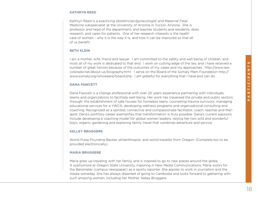#### **KATHRYN REED**

Kathryn Reed is a practicing obstetrician/gynecologist and Maternal Fetal Medicine subspecialist at the University of Arizona in Tucson Arizona. She is professor and head of the department, and teaches students and residents, does research, and cares for patients. One of her research interests is the health care of women - why it is the way it is, and how it can be improved so that all of us benefit

#### **BETH KLEIN**

I am a mother, wife, friend and lawyer. I am committed to the safety and well being of children, and most all of my work is dedicated to that end. I work on cutting edge of the law, and I have received a number of great honors because of the outcomes of my cases and my approaches. http://www.lawcolorado.net/about-us/biography.html I serve on the Board of the Somaly Mam Foundation http:// www.somaly.org/whoweare/board.php. I am grateful for everything that I have and can do.

#### **DANA FAWCETT**

Dana Fawcett is a change professional with over 20 years experience partnering with individuals, teams and organizations to facilitate well-being. Her work has traversed the private and public sectors through: the establishment of safe houses for homeless teens, counseling trauma survivors, managing educational services for a YWCA, developing wellness programs and organizational consulting and coaching. Recognized as a spirited, connective and compassionate facilitator, coach, teacher and therapist, Dana's portfolio career exemplifies that transformation is truly possible. Dana's current passions include developing a coaching model for global women leaders, raising her two wild and wonderful boys, organic gardening and exploring family travel that combines adventure and service.

#### **KELLEY BRUGGERE**

World Pulse Founding Backer, philanthropist, and world traveller from Oregon. (Complete bio to be provided electronically).

#### **MARIA BRUGGERE**

Maria grew up traveling with her family, and is inspired to go to new places around the globe. A sophomore at Oregon State University, majoring in New Media Communications, Maria works for the Barometer (campus newspaper) as a sports reporter. She aspires to work in journalism and the media someday. She has always dreamed of going to Cambodia and looks forward to gathering with such amazing women, including her Mother, Kelley Bruggere.